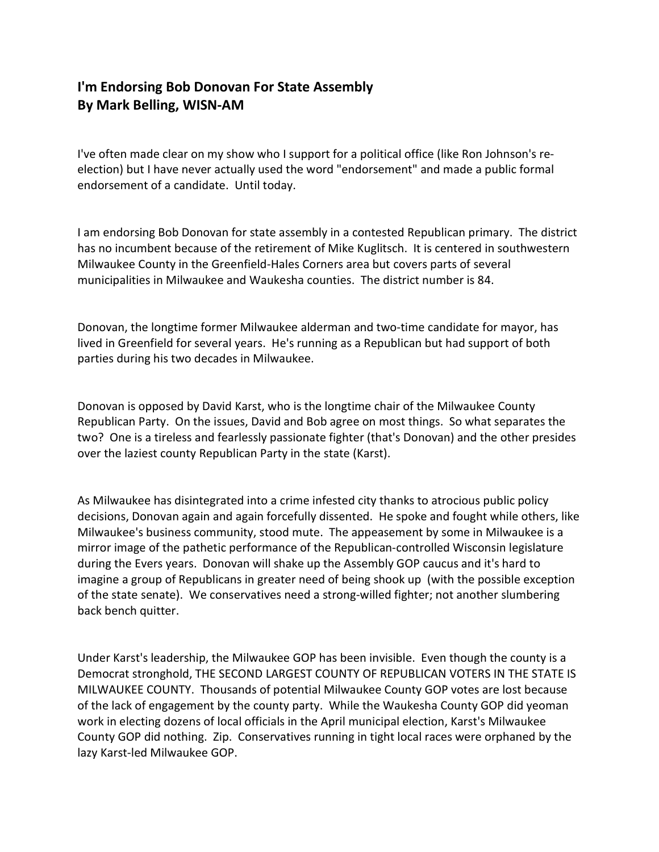## I'm Endorsing Bob Donovan For State Assembly By Mark Belling, WISN-AM

I've often made clear on my show who I support for a political office (like Ron Johnson's reelection) but I have never actually used the word "endorsement" and made a public formal endorsement of a candidate. Until today.

I am endorsing Bob Donovan for state assembly in a contested Republican primary. The district has no incumbent because of the retirement of Mike Kuglitsch. It is centered in southwestern Milwaukee County in the Greenfield-Hales Corners area but covers parts of several municipalities in Milwaukee and Waukesha counties. The district number is 84.

Donovan, the longtime former Milwaukee alderman and two-time candidate for mayor, has lived in Greenfield for several years. He's running as a Republican but had support of both parties during his two decades in Milwaukee.

Donovan is opposed by David Karst, who is the longtime chair of the Milwaukee County Republican Party. On the issues, David and Bob agree on most things. So what separates the two? One is a tireless and fearlessly passionate fighter (that's Donovan) and the other presides over the laziest county Republican Party in the state (Karst).

As Milwaukee has disintegrated into a crime infested city thanks to atrocious public policy decisions, Donovan again and again forcefully dissented. He spoke and fought while others, like Milwaukee's business community, stood mute. The appeasement by some in Milwaukee is a mirror image of the pathetic performance of the Republican-controlled Wisconsin legislature during the Evers years. Donovan will shake up the Assembly GOP caucus and it's hard to imagine a group of Republicans in greater need of being shook up (with the possible exception of the state senate). We conservatives need a strong-willed fighter; not another slumbering back bench quitter.

Under Karst's leadership, the Milwaukee GOP has been invisible. Even though the county is a Democrat stronghold, THE SECOND LARGEST COUNTY OF REPUBLICAN VOTERS IN THE STATE IS MILWAUKEE COUNTY. Thousands of potential Milwaukee County GOP votes are lost because of the lack of engagement by the county party. While the Waukesha County GOP did yeoman work in electing dozens of local officials in the April municipal election, Karst's Milwaukee County GOP did nothing. Zip. Conservatives running in tight local races were orphaned by the lazy Karst-led Milwaukee GOP.